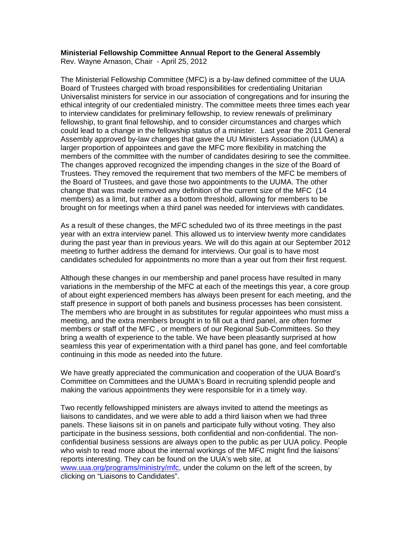## **Ministerial Fellowship Committee Annual Report to the General Assembly**

Rev. Wayne Arnason, Chair - April 25, 2012

The Ministerial Fellowship Committee (MFC) is a by-law defined committee of the UUA Board of Trustees charged with broad responsibilities for credentialing Unitarian Universalist ministers for service in our association of congregations and for insuring the ethical integrity of our credentialed ministry. The committee meets three times each year to interview candidates for preliminary fellowship, to review renewals of preliminary fellowship, to grant final fellowship, and to consider circumstances and charges which could lead to a change in the fellowship status of a minister. Last year the 2011 General Assembly approved by-law changes that gave the UU Ministers Association (UUMA) a larger proportion of appointees and gave the MFC more flexibility in matching the members of the committee with the number of candidates desiring to see the committee. The changes approved recognized the impending changes in the size of the Board of Trustees. They removed the requirement that two members of the MFC be members of the Board of Trustees, and gave those two appointments to the UUMA. The other change that was made removed any definition of the current size of the MFC (14 members) as a limit, but rather as a bottom threshold, allowing for members to be brought on for meetings when a third panel was needed for interviews with candidates.

As a result of these changes, the MFC scheduled two of its three meetings in the past year with an extra interview panel. This allowed us to interview twenty more candidates during the past year than in previous years. We will do this again at our September 2012 meeting to further address the demand for interviews. Our goal is to have most candidates scheduled for appointments no more than a year out from their first request.

Although these changes in our membership and panel process have resulted in many variations in the membership of the MFC at each of the meetings this year, a core group of about eight experienced members has always been present for each meeting, and the staff presence in support of both panels and business processes has been consistent. The members who are brought in as substitutes for regular appointees who must miss a meeting, and the extra members brought in to fill out a third panel, are often former members or staff of the MFC , or members of our Regional Sub-Committees. So they bring a wealth of experience to the table. We have been pleasantly surprised at how seamless this year of experimentation with a third panel has gone, and feel comfortable continuing in this mode as needed into the future.

We have greatly appreciated the communication and cooperation of the UUA Board's Committee on Committees and the UUMA's Board in recruiting splendid people and making the various appointments they were responsible for in a timely way.

Two recently fellowshipped ministers are always invited to attend the meetings as liaisons to candidates, and we were able to add a third liaison when we had three panels. These liaisons sit in on panels and participate fully without voting. They also participate in the business sessions, both confidential and non-confidential. The nonconfidential business sessions are always open to the public as per UUA policy. People who wish to read more about the internal workings of the MFC might find the liaisons' reports interesting. They can be found on the UUA's web site, at www.uua.org/programs/ministry/mfc, under the column on the left of the screen, by clicking on "Liaisons to Candidates".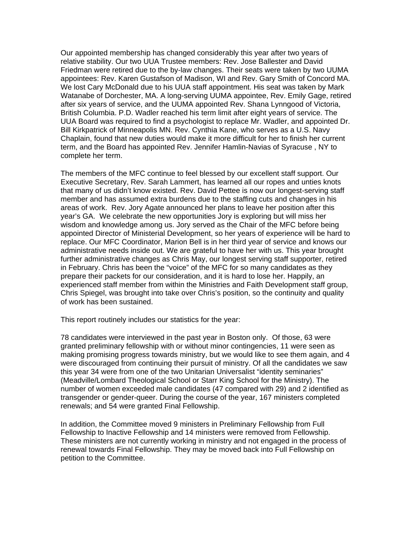Our appointed membership has changed considerably this year after two years of relative stability. Our two UUA Trustee members: Rev. Jose Ballester and David Friedman were retired due to the by-law changes. Their seats were taken by two UUMA appointees: Rev. Karen Gustafson of Madison, WI and Rev. Gary Smith of Concord MA. We lost Cary McDonald due to his UUA staff appointment. His seat was taken by Mark Watanabe of Dorchester, MA. A long-serving UUMA appointee, Rev. Emily Gage, retired after six years of service, and the UUMA appointed Rev. Shana Lynngood of Victoria, British Columbia. P.D. Wadler reached his term limit after eight years of service. The UUA Board was required to find a psychologist to replace Mr. Wadler, and appointed Dr. Bill Kirkpatrick of Minneapolis MN. Rev. Cynthia Kane, who serves as a U.S. Navy Chaplain, found that new duties would make it more difficult for her to finish her current term, and the Board has appointed Rev. Jennifer Hamlin-Navias of Syracuse , NY to complete her term.

The members of the MFC continue to feel blessed by our excellent staff support. Our Executive Secretary, Rev. Sarah Lammert, has learned all our ropes and unties knots that many of us didn't know existed. Rev. David Pettee is now our longest-serving staff member and has assumed extra burdens due to the staffing cuts and changes in his areas of work. Rev. Jory Agate announced her plans to leave her position after this year's GA. We celebrate the new opportunities Jory is exploring but will miss her wisdom and knowledge among us. Jory served as the Chair of the MFC before being appointed Director of Ministerial Development, so her years of experience will be hard to replace. Our MFC Coordinator, Marion Bell is in her third year of service and knows our administrative needs inside out. We are grateful to have her with us. This year brought further administrative changes as Chris May, our longest serving staff supporter, retired in February. Chris has been the "voice" of the MFC for so many candidates as they prepare their packets for our consideration, and it is hard to lose her. Happily, an experienced staff member from within the Ministries and Faith Development staff group, Chris Spiegel, was brought into take over Chris's position, so the continuity and quality of work has been sustained.

This report routinely includes our statistics for the year:

78 candidates were interviewed in the past year in Boston only. Of those, 63 were granted preliminary fellowship with or without minor contingencies, 11 were seen as making promising progress towards ministry, but we would like to see them again, and 4 were discouraged from continuing their pursuit of ministry. Of all the candidates we saw this year 34 were from one of the two Unitarian Universalist "identity seminaries" (Meadville/Lombard Theological School or Starr King School for the Ministry). The number of women exceeded male candidates (47 compared with 29) and 2 identified as transgender or gender-queer. During the course of the year, 167 ministers completed renewals; and 54 were granted Final Fellowship.

In addition, the Committee moved 9 ministers in Preliminary Fellowship from Full Fellowship to Inactive Fellowship and 14 ministers were removed from Fellowship. These ministers are not currently working in ministry and not engaged in the process of renewal towards Final Fellowship. They may be moved back into Full Fellowship on petition to the Committee.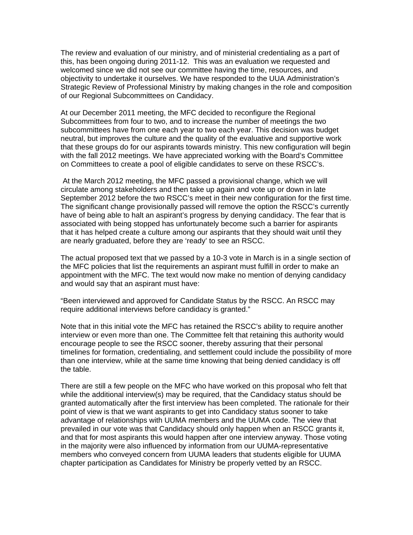The review and evaluation of our ministry, and of ministerial credentialing as a part of this, has been ongoing during 2011-12. This was an evaluation we requested and welcomed since we did not see our committee having the time, resources, and objectivity to undertake it ourselves. We have responded to the UUA Administration's Strategic Review of Professional Ministry by making changes in the role and composition of our Regional Subcommittees on Candidacy.

At our December 2011 meeting, the MFC decided to reconfigure the Regional Subcommittees from four to two, and to increase the number of meetings the two subcommittees have from one each year to two each year. This decision was budget neutral, but improves the culture and the quality of the evaluative and supportive work that these groups do for our aspirants towards ministry. This new configuration will begin with the fall 2012 meetings. We have appreciated working with the Board's Committee on Committees to create a pool of eligible candidates to serve on these RSCC's.

 At the March 2012 meeting, the MFC passed a provisional change, which we will circulate among stakeholders and then take up again and vote up or down in late September 2012 before the two RSCC's meet in their new configuration for the first time. The significant change provisionally passed will remove the option the RSCC's currently have of being able to halt an aspirant's progress by denying candidacy. The fear that is associated with being stopped has unfortunately become such a barrier for aspirants that it has helped create a culture among our aspirants that they should wait until they are nearly graduated, before they are 'ready' to see an RSCC.

The actual proposed text that we passed by a 10-3 vote in March is in a single section of the MFC policies that list the requirements an aspirant must fulfill in order to make an appointment with the MFC. The text would now make no mention of denying candidacy and would say that an aspirant must have:

"Been interviewed and approved for Candidate Status by the RSCC. An RSCC may require additional interviews before candidacy is granted."

Note that in this initial vote the MFC has retained the RSCC's ability to require another interview or even more than one. The Committee felt that retaining this authority would encourage people to see the RSCC sooner, thereby assuring that their personal timelines for formation, credentialing, and settlement could include the possibility of more than one interview, while at the same time knowing that being denied candidacy is off the table.

There are still a few people on the MFC who have worked on this proposal who felt that while the additional interview(s) may be required, that the Candidacy status should be granted automatically after the first interview has been completed. The rationale for their point of view is that we want aspirants to get into Candidacy status sooner to take advantage of relationships with UUMA members and the UUMA code. The view that prevailed in our vote was that Candidacy should only happen when an RSCC grants it, and that for most aspirants this would happen after one interview anyway. Those voting in the majority were also influenced by information from our UUMA-representative members who conveyed concern from UUMA leaders that students eligible for UUMA chapter participation as Candidates for Ministry be properly vetted by an RSCC.